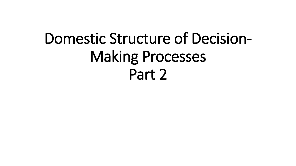# Domestic Structure of Decision-Making Processes Part 2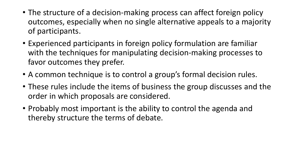- The structure of a decision-making process can affect foreign policy outcomes, especially when no single alternative appeals to a majority of participants.
- Experienced participants in foreign policy formulation are familiar with the techniques for manipulating decision-making processes to favor outcomes they prefer.
- A common technique is to control a group's formal decision rules.
- These rules include the items of business the group discusses and the order in which proposals are considered.
- Probably most important is the ability to control the agenda and thereby structure the terms of debate.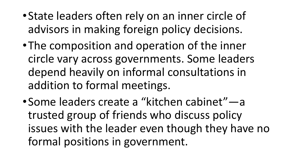- •State leaders often rely on an inner circle of advisors in making foreign policy decisions.
- •The composition and operation of the inner circle vary across governments. Some leaders depend heavily on informal consultations in addition to formal meetings.
- •Some leaders create a "kitchen cabinet"—a trusted group of friends who discuss policy issues with the leader even though they have no formal positions in government.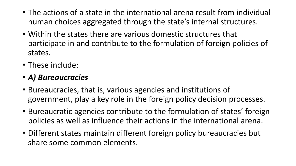- The actions of a state in the international arena result from individual human choices aggregated through the state's internal structures.
- Within the states there are various domestic structures that participate in and contribute to the formulation of foreign policies of states.
- These include:
- *A) Bureaucracies*
- Bureaucracies, that is, various agencies and institutions of government, play a key role in the foreign policy decision processes.
- Bureaucratic agencies contribute to the formulation of states' foreign policies as well as influence their actions in the international arena.
- Different states maintain different foreign policy bureaucracies but share some common elements.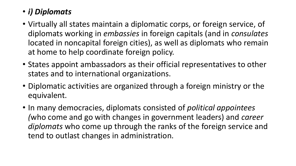### • *i) Diplomats*

- Virtually all states maintain a diplomatic corps, or foreign service, of diplomats working in *embassies* in foreign capitals (and in *consulates* located in noncapital foreign cities), as well as diplomats who remain at home to help coordinate foreign policy.
- States appoint ambassadors as their official representatives to other states and to international organizations.
- Diplomatic activities are organized through a foreign ministry or the equivalent.
- In many democracies, diplomats consisted of *political appointees (*who come and go with changes in government leaders) and *career diplomats* who come up through the ranks of the foreign service and tend to outlast changes in administration.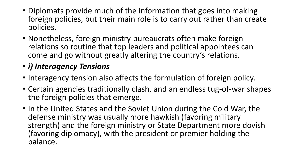- Diplomats provide much of the information that goes into making foreign policies, but their main role is to carry out rather than create policies.
- Nonetheless, foreign ministry bureaucrats often make foreign relations so routine that top leaders and political appointees can come and go without greatly altering the country's relations.
- *i) Interagency Tensions*
- Interagency tension also affects the formulation of foreign policy.
- Certain agencies traditionally clash, and an endless tug-of-war shapes the foreign policies that emerge.
- In the United States and the Soviet Union during the Cold War, the defense ministry was usually more hawkish (favoring military strength) and the foreign ministry or State Department more dovish (favoring diplomacy), with the president or premier holding the balance.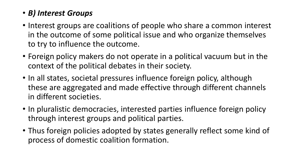#### • *B) Interest Groups*

- Interest groups are coalitions of people who share a common interest in the outcome of some political issue and who organize themselves to try to influence the outcome.
- Foreign policy makers do not operate in a political vacuum but in the context of the political debates in their society.
- In all states, societal pressures influence foreign policy, although these are aggregated and made effective through different channels in different societies.
- In pluralistic democracies, interested parties influence foreign policy through interest groups and political parties.
- Thus foreign policies adopted by states generally reflect some kind of process of domestic coalition formation.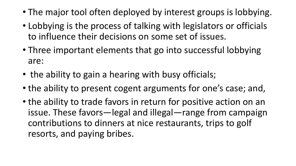- The major tool often deployed by interest groups is lobbying.
- Lobbying is the process of talking with legislators or officials to influence their decisions on some set of issues.
- Three important elements that go into successful lobbying are:
- the ability to gain a hearing with busy officials;
- the ability to present cogent arguments for one's case; and,
- the ability to trade favors in return for positive action on an issue. These favors—legal and illegal—range from campaign contributions to dinners at nice restaurants, trips to golf resorts, and paying bribes.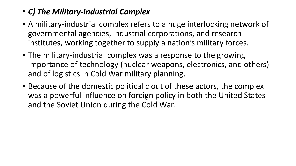#### • *C) The Military-Industrial Complex*

- A military-industrial complex refers to a huge interlocking network of governmental agencies, industrial corporations, and research institutes, working together to supply a nation's military forces.
- The military-industrial complex was a response to the growing importance of technology (nuclear weapons, electronics, and others) and of logistics in Cold War military planning.
- Because of the domestic political clout of these actors, the complex was a powerful influence on foreign policy in both the United States and the Soviet Union during the Cold War.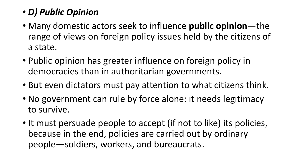## • *D) Public Opinion*

- Many domestic actors seek to influence **public opinion**—the range of views on foreign policy issues held by the citizens of a state.
- Public opinion has greater influence on foreign policy in democracies than in authoritarian governments.
- But even dictators must pay attention to what citizens think.
- No government can rule by force alone: it needs legitimacy to survive.
- It must persuade people to accept (if not to like) its policies, because in the end, policies are carried out by ordinary people—soldiers, workers, and bureaucrats.